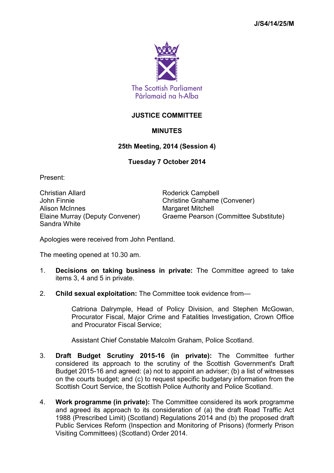

## **JUSTICE COMMITTEE**

## **MINUTES**

## **25th Meeting, 2014 (Session 4)**

## **Tuesday 7 October 2014**

Present:

Christian Allard **Roderick Campbell** John Finnie Christine Grahame (Convener) Alison McInnes Margaret Mitchell Sandra White

Elaine Murray (Deputy Convener) Graeme Pearson (Committee Substitute)

Apologies were received from John Pentland.

The meeting opened at 10.30 am.

- 1. **Decisions on taking business in private:** The Committee agreed to take items 3, 4 and 5 in private.
- 2. **Child sexual exploitation:** The Committee took evidence from—

Catriona Dalrymple, Head of Policy Division, and Stephen McGowan, Procurator Fiscal, Major Crime and Fatalities Investigation, Crown Office and Procurator Fiscal Service;

Assistant Chief Constable Malcolm Graham, Police Scotland.

- 3. **Draft Budget Scrutiny 2015-16 (in private):** The Committee further considered its approach to the scrutiny of the Scottish Government's Draft Budget 2015-16 and agreed: (a) not to appoint an adviser; (b) a list of witnesses on the courts budget; and (c) to request specific budgetary information from the Scottish Court Service, the Scottish Police Authority and Police Scotland.
- 4. **Work programme (in private):** The Committee considered its work programme and agreed its approach to its consideration of (a) the draft Road Traffic Act 1988 (Prescribed Limit) (Scotland) Regulations 2014 and (b) the proposed draft Public Services Reform (Inspection and Monitoring of Prisons) (formerly Prison Visiting Committees) (Scotland) Order 2014.